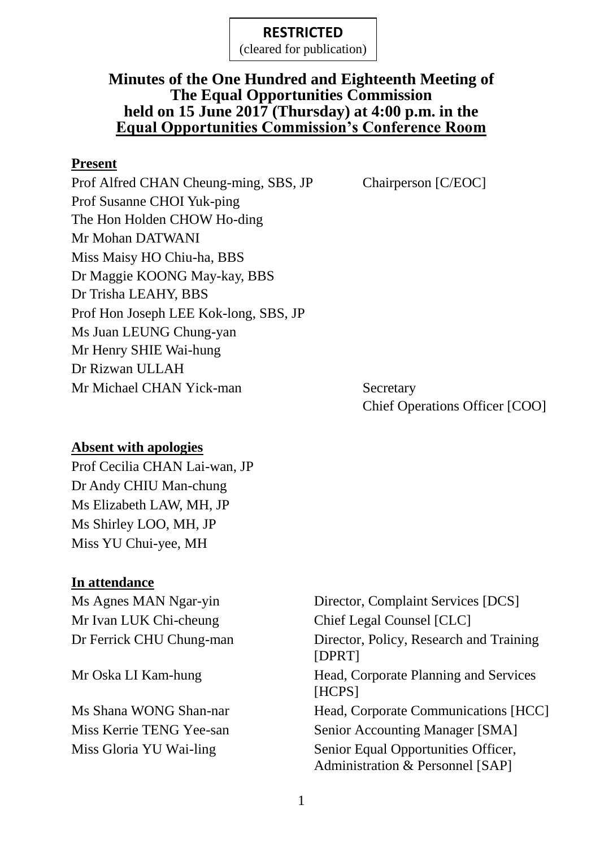(cleared for publication)

### **Minutes of the One Hundred and Eighteenth Meeting of The Equal Opportunities Commission held on 15 June 2017 (Thursday) at 4:00 p.m. in the Equal Opportunities Commission's Conference Room**

#### **Present**

Prof Alfred CHAN Cheung-ming, SBS, JP Chairperson [C/EOC] Prof Susanne CHOI Yuk-ping The Hon Holden CHOW Ho-ding Mr Mohan DATWANI Miss Maisy HO Chiu-ha, BBS Dr Maggie KOONG May-kay, BBS Dr Trisha LEAHY, BBS Prof Hon Joseph LEE Kok-long, SBS, JP Ms Juan LEUNG Chung-yan Mr Henry SHIE Wai-hung Dr Rizwan ULLAH Mr Michael CHAN Yick-man Secretary

Chief Operations Officer [COO]

#### **Absent with apologies**

Prof Cecilia CHAN Lai-wan, JP Dr Andy CHIU Man-chung Ms Elizabeth LAW, MH, JP Ms Shirley LOO, MH, JP Miss YU Chui-yee, MH

#### **In attendance**

Ms Agnes MAN Ngar-yin Director, Complaint Services [DCS] Mr Ivan LUK Chi-cheung Chief Legal Counsel [CLC] Dr Ferrick CHU Chung-man Director, Policy, Research and Training [DPRT] Mr Oska LI Kam-hung Head, Corporate Planning and Services [HCPS] Ms Shana WONG Shan-nar Head, Corporate Communications [HCC] Miss Kerrie TENG Yee-san Senior Accounting Manager [SMA] Miss Gloria YU Wai-ling Senior Equal Opportunities Officer, Administration & Personnel [SAP]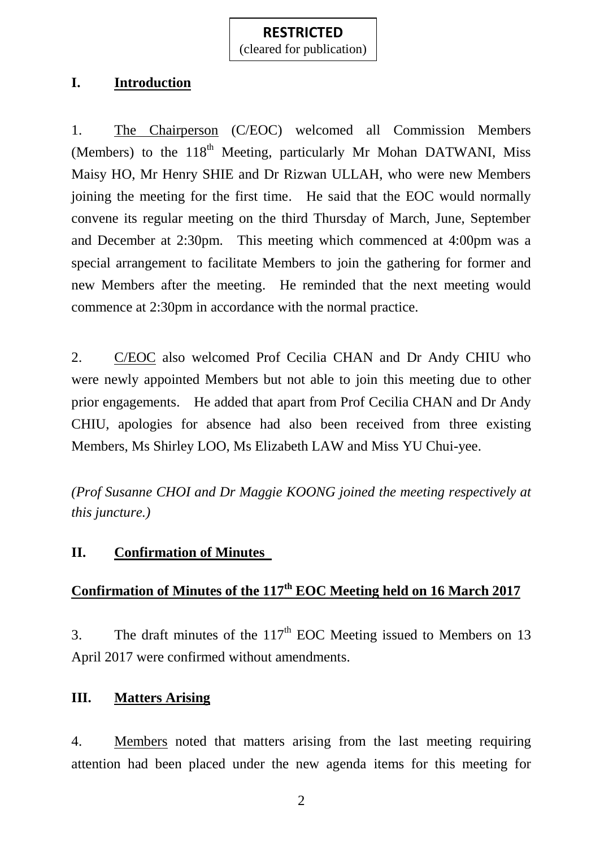(cleared for publication)

## **I. Introduction**

1. The Chairperson (C/EOC) welcomed all Commission Members (Members) to the 118<sup>th</sup> Meeting, particularly Mr Mohan DATWANI, Miss Maisy HO, Mr Henry SHIE and Dr Rizwan ULLAH, who were new Members joining the meeting for the first time. He said that the EOC would normally convene its regular meeting on the third Thursday of March, June, September and December at 2:30pm. This meeting which commenced at 4:00pm was a special arrangement to facilitate Members to join the gathering for former and new Members after the meeting. He reminded that the next meeting would commence at 2:30pm in accordance with the normal practice.

2. C/EOC also welcomed Prof Cecilia CHAN and Dr Andy CHIU who were newly appointed Members but not able to join this meeting due to other prior engagements. He added that apart from Prof Cecilia CHAN and Dr Andy CHIU, apologies for absence had also been received from three existing Members, Ms Shirley LOO, Ms Elizabeth LAW and Miss YU Chui-yee.

*(Prof Susanne CHOI and Dr Maggie KOONG joined the meeting respectively at this juncture.)*

# **II. Confirmation of Minutes**

# **Confirmation of Minutes of the 117 th EOC Meeting held on 16 March 2017**

3. The draft minutes of the  $117<sup>th</sup>$  EOC Meeting issued to Members on 13 April 2017 were confirmed without amendments.

### **III. Matters Arising**

4. Members noted that matters arising from the last meeting requiring attention had been placed under the new agenda items for this meeting for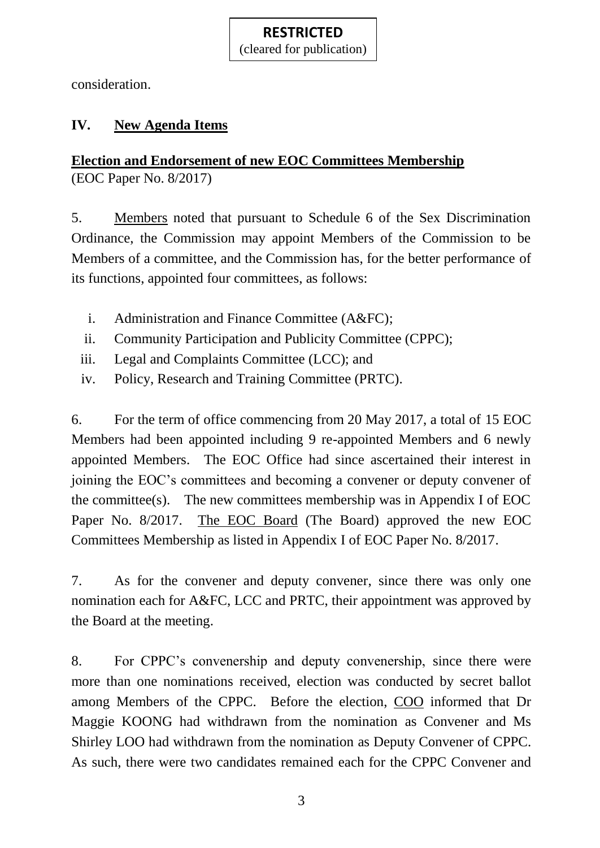(cleared for publication)

consideration.

# **IV. New Agenda Items**

# **Election and Endorsement of new EOC Committees Membership**

(EOC Paper No. 8/2017)

5. Members noted that pursuant to Schedule 6 of the Sex Discrimination Ordinance, the Commission may appoint Members of the Commission to be Members of a committee, and the Commission has, for the better performance of its functions, appointed four committees, as follows:

- i. Administration and Finance Committee (A&FC);
- ii. Community Participation and Publicity Committee (CPPC);
- iii. Legal and Complaints Committee (LCC); and
- iv. Policy, Research and Training Committee (PRTC).

6. For the term of office commencing from 20 May 2017, a total of 15 EOC Members had been appointed including 9 re-appointed Members and 6 newly appointed Members. The EOC Office had since ascertained their interest in joining the EOC's committees and becoming a convener or deputy convener of the committee(s). The new committees membership was in Appendix I of EOC Paper No. 8/2017. The EOC Board (The Board) approved the new EOC Committees Membership as listed in Appendix I of EOC Paper No. 8/2017.

7. As for the convener and deputy convener, since there was only one nomination each for A&FC, LCC and PRTC, their appointment was approved by the Board at the meeting.

8. For CPPC's convenership and deputy convenership, since there were more than one nominations received, election was conducted by secret ballot among Members of the CPPC. Before the election, COO informed that Dr Maggie KOONG had withdrawn from the nomination as Convener and Ms Shirley LOO had withdrawn from the nomination as Deputy Convener of CPPC. As such, there were two candidates remained each for the CPPC Convener and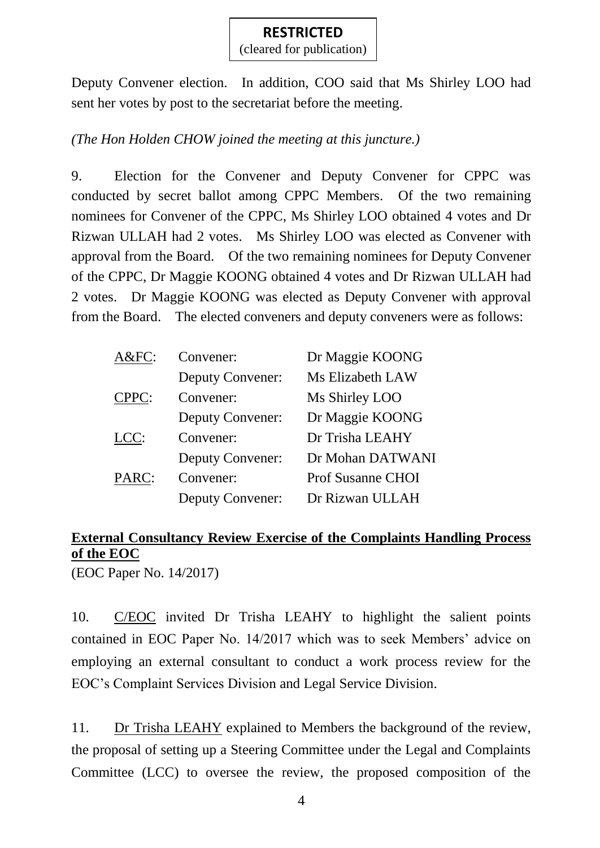(cleared for publication)

Deputy Convener election. In addition, COO said that Ms Shirley LOO had sent her votes by post to the secretariat before the meeting.

## *(The Hon Holden CHOW joined the meeting at this juncture.)*

9. Election for the Convener and Deputy Convener for CPPC was conducted by secret ballot among CPPC Members. Of the two remaining nominees for Convener of the CPPC, Ms Shirley LOO obtained 4 votes and Dr Rizwan ULLAH had 2 votes. Ms Shirley LOO was elected as Convener with approval from the Board. Of the two remaining nominees for Deputy Convener of the CPPC, Dr Maggie KOONG obtained 4 votes and Dr Rizwan ULLAH had 2 votes. Dr Maggie KOONG was elected as Deputy Convener with approval from the Board. The elected conveners and deputy conveners were as follows:

| A&FC: | Convener:               | Dr Maggie KOONG          |
|-------|-------------------------|--------------------------|
|       | Deputy Convener:        | Ms Elizabeth LAW         |
| CPPC: | Convener:               | Ms Shirley LOO           |
|       | <b>Deputy Convener:</b> | Dr Maggie KOONG          |
| LCC:  | Convener:               | Dr Trisha LEAHY          |
|       | <b>Deputy Convener:</b> | Dr Mohan DATWANI         |
| PARC: | Convener:               | <b>Prof Susanne CHOI</b> |
|       | <b>Deputy Convener:</b> | Dr Rizwan ULLAH          |

# **External Consultancy Review Exercise of the Complaints Handling Process of the EOC**

(EOC Paper No. 14/2017)

10. C/EOC invited Dr Trisha LEAHY to highlight the salient points contained in EOC Paper No. 14/2017 which was to seek Members' advice on employing an external consultant to conduct a work process review for the EOC's Complaint Services Division and Legal Service Division.

11. Dr Trisha LEAHY explained to Members the background of the review, the proposal of setting up a Steering Committee under the Legal and Complaints Committee (LCC) to oversee the review, the proposed composition of the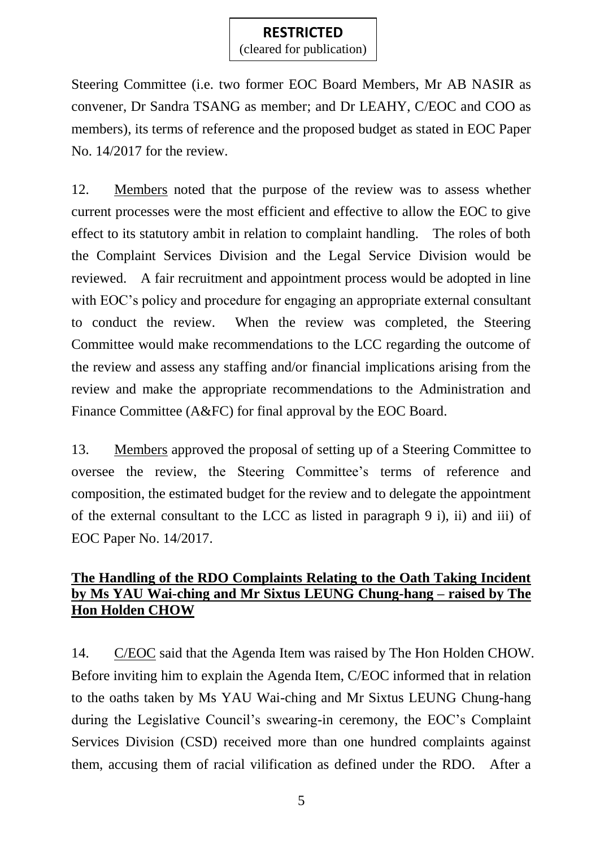(cleared for publication)

Steering Committee (i.e. two former EOC Board Members, Mr AB NASIR as convener, Dr Sandra TSANG as member; and Dr LEAHY, C/EOC and COO as members), its terms of reference and the proposed budget as stated in EOC Paper No. 14/2017 for the review.

12. Members noted that the purpose of the review was to assess whether current processes were the most efficient and effective to allow the EOC to give effect to its statutory ambit in relation to complaint handling. The roles of both the Complaint Services Division and the Legal Service Division would be reviewed. A fair recruitment and appointment process would be adopted in line with EOC's policy and procedure for engaging an appropriate external consultant to conduct the review. When the review was completed, the Steering Committee would make recommendations to the LCC regarding the outcome of the review and assess any staffing and/or financial implications arising from the review and make the appropriate recommendations to the Administration and Finance Committee (A&FC) for final approval by the EOC Board.

13. Members approved the proposal of setting up of a Steering Committee to oversee the review, the Steering Committee's terms of reference and composition, the estimated budget for the review and to delegate the appointment of the external consultant to the LCC as listed in paragraph 9 i), ii) and iii) of EOC Paper No. 14/2017.

## **The Handling of the RDO Complaints Relating to the Oath Taking Incident by Ms YAU Wai-ching and Mr Sixtus LEUNG Chung-hang – raised by The Hon Holden CHOW**

14. C/EOC said that the Agenda Item was raised by The Hon Holden CHOW. Before inviting him to explain the Agenda Item, C/EOC informed that in relation to the oaths taken by Ms YAU Wai-ching and Mr Sixtus LEUNG Chung-hang during the Legislative Council's swearing-in ceremony, the EOC's Complaint Services Division (CSD) received more than one hundred complaints against them, accusing them of racial vilification as defined under the RDO. After a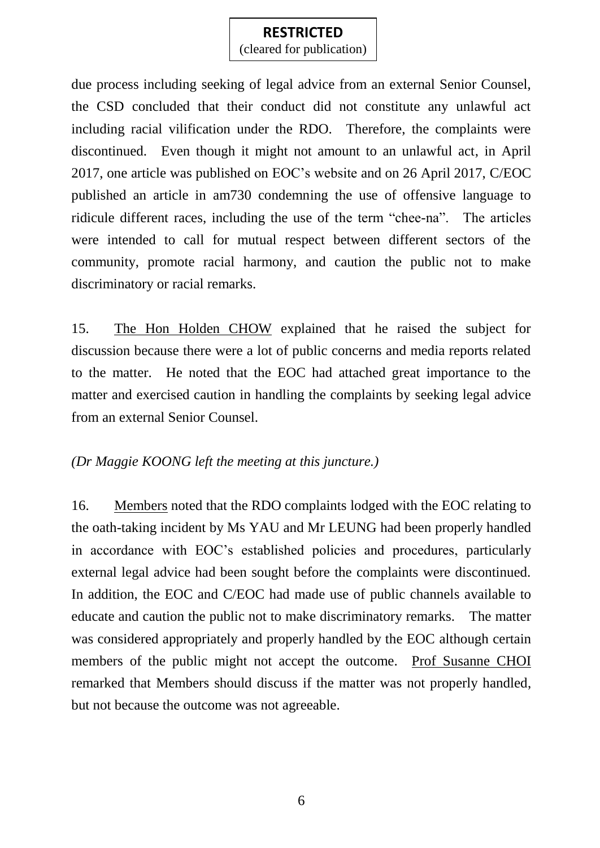(cleared for publication)

due process including seeking of legal advice from an external Senior Counsel, the CSD concluded that their conduct did not constitute any unlawful act including racial vilification under the RDO. Therefore, the complaints were discontinued. Even though it might not amount to an unlawful act, in April 2017, one article was published on EOC's website and on 26 April 2017, C/EOC published an article in am730 condemning the use of offensive language to ridicule different races, including the use of the term "chee-na". The articles were intended to call for mutual respect between different sectors of the community, promote racial harmony, and caution the public not to make discriminatory or racial remarks.

15. The Hon Holden CHOW explained that he raised the subject for discussion because there were a lot of public concerns and media reports related to the matter. He noted that the EOC had attached great importance to the matter and exercised caution in handling the complaints by seeking legal advice from an external Senior Counsel.

### *(Dr Maggie KOONG left the meeting at this juncture.)*

16. Members noted that the RDO complaints lodged with the EOC relating to the oath-taking incident by Ms YAU and Mr LEUNG had been properly handled in accordance with EOC's established policies and procedures, particularly external legal advice had been sought before the complaints were discontinued. In addition, the EOC and C/EOC had made use of public channels available to educate and caution the public not to make discriminatory remarks. The matter was considered appropriately and properly handled by the EOC although certain members of the public might not accept the outcome. Prof Susanne CHOI remarked that Members should discuss if the matter was not properly handled, but not because the outcome was not agreeable.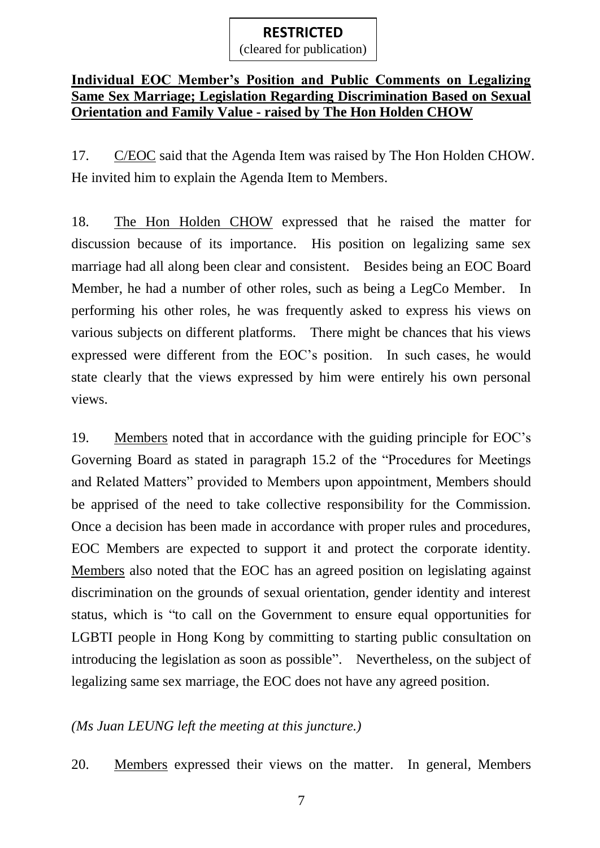(cleared for publication)

#### **Individual EOC Member's Position and Public Comments on Legalizing Same Sex Marriage; Legislation Regarding Discrimination Based on Sexual Orientation and Family Value - raised by The Hon Holden CHOW**

17. C/EOC said that the Agenda Item was raised by The Hon Holden CHOW. He invited him to explain the Agenda Item to Members.

18. The Hon Holden CHOW expressed that he raised the matter for discussion because of its importance. His position on legalizing same sex marriage had all along been clear and consistent. Besides being an EOC Board Member, he had a number of other roles, such as being a LegCo Member. In performing his other roles, he was frequently asked to express his views on various subjects on different platforms. There might be chances that his views expressed were different from the EOC's position. In such cases, he would state clearly that the views expressed by him were entirely his own personal views.

19. Members noted that in accordance with the guiding principle for EOC's Governing Board as stated in paragraph 15.2 of the "Procedures for Meetings and Related Matters" provided to Members upon appointment, Members should be apprised of the need to take collective responsibility for the Commission. Once a decision has been made in accordance with proper rules and procedures, EOC Members are expected to support it and protect the corporate identity. Members also noted that the EOC has an agreed position on legislating against discrimination on the grounds of sexual orientation, gender identity and interest status, which is "to call on the Government to ensure equal opportunities for LGBTI people in Hong Kong by committing to starting public consultation on introducing the legislation as soon as possible". Nevertheless, on the subject of legalizing same sex marriage, the EOC does not have any agreed position.

### *(Ms Juan LEUNG left the meeting at this juncture.)*

20. Members expressed their views on the matter. In general, Members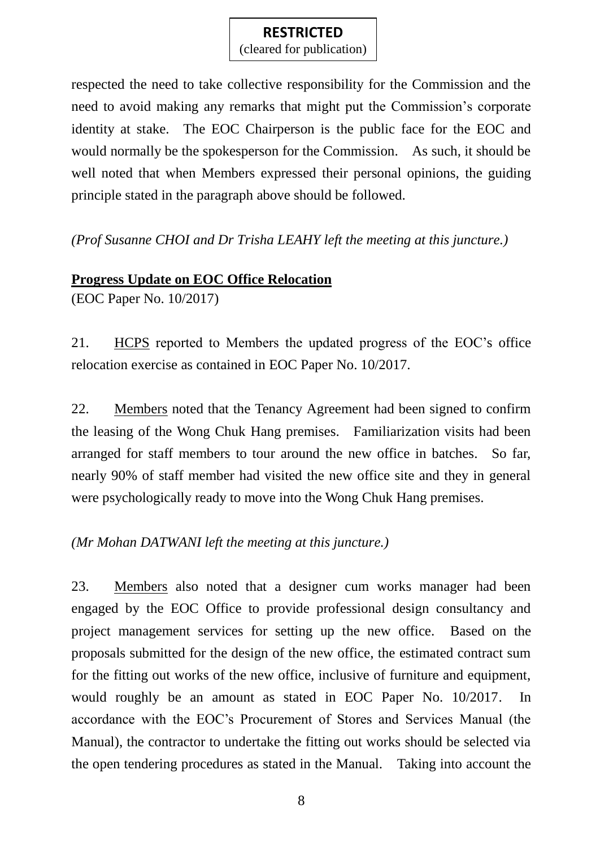(cleared for publication)

respected the need to take collective responsibility for the Commission and the need to avoid making any remarks that might put the Commission's corporate identity at stake. The EOC Chairperson is the public face for the EOC and would normally be the spokesperson for the Commission. As such, it should be well noted that when Members expressed their personal opinions, the guiding principle stated in the paragraph above should be followed.

*(Prof Susanne CHOI and Dr Trisha LEAHY left the meeting at this juncture.)*

### **Progress Update on EOC Office Relocation**

(EOC Paper No. 10/2017)

21. HCPS reported to Members the updated progress of the EOC's office relocation exercise as contained in EOC Paper No. 10/2017.

22. Members noted that the Tenancy Agreement had been signed to confirm the leasing of the Wong Chuk Hang premises. Familiarization visits had been arranged for staff members to tour around the new office in batches. So far, nearly 90% of staff member had visited the new office site and they in general were psychologically ready to move into the Wong Chuk Hang premises.

*(Mr Mohan DATWANI left the meeting at this juncture.)*

23. Members also noted that a designer cum works manager had been engaged by the EOC Office to provide professional design consultancy and project management services for setting up the new office. Based on the proposals submitted for the design of the new office, the estimated contract sum for the fitting out works of the new office, inclusive of furniture and equipment, would roughly be an amount as stated in EOC Paper No. 10/2017. In accordance with the EOC's Procurement of Stores and Services Manual (the Manual), the contractor to undertake the fitting out works should be selected via the open tendering procedures as stated in the Manual. Taking into account the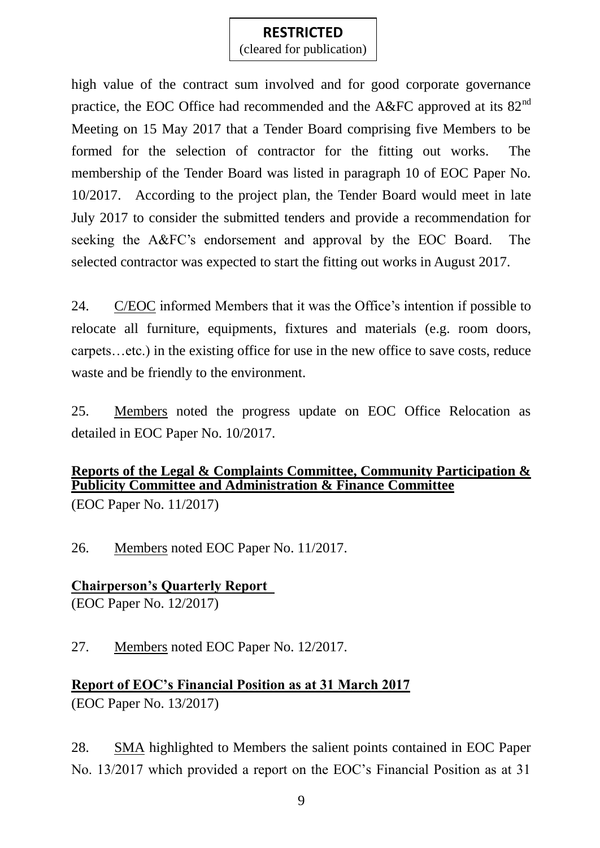(cleared for publication)

high value of the contract sum involved and for good corporate governance practice, the EOC Office had recommended and the A&FC approved at its  $82<sup>nd</sup>$ Meeting on 15 May 2017 that a Tender Board comprising five Members to be formed for the selection of contractor for the fitting out works. The membership of the Tender Board was listed in paragraph 10 of EOC Paper No. 10/2017. According to the project plan, the Tender Board would meet in late July 2017 to consider the submitted tenders and provide a recommendation for seeking the A&FC's endorsement and approval by the EOC Board. The selected contractor was expected to start the fitting out works in August 2017.

24. C/EOC informed Members that it was the Office's intention if possible to relocate all furniture, equipments, fixtures and materials (e.g. room doors, carpets…etc.) in the existing office for use in the new office to save costs, reduce waste and be friendly to the environment.

25. Members noted the progress update on EOC Office Relocation as detailed in EOC Paper No. 10/2017.

# **Reports of the Legal & Complaints Committee, Community Participation & Publicity Committee and Administration & Finance Committee**

(EOC Paper No. 11/2017)

26. Members noted EOC Paper No. 11/2017.

#### **Chairperson's Quarterly Report**  (EOC Paper No. 12/2017)

27. Members noted EOC Paper No. 12/2017.

# **Report of EOC's Financial Position as at 31 March 2017**

(EOC Paper No. 13/2017)

28. SMA highlighted to Members the salient points contained in EOC Paper No. 13/2017 which provided a report on the EOC's Financial Position as at 31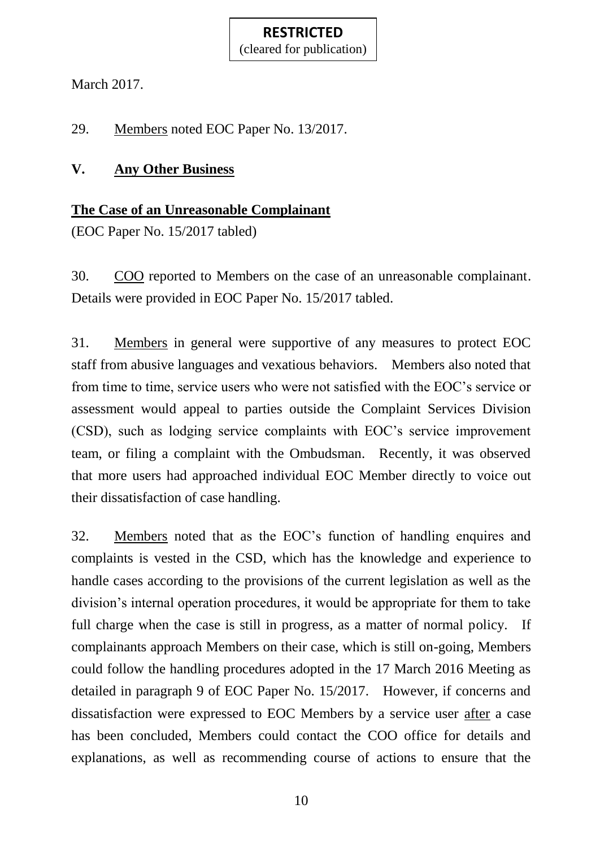(cleared for publication)

March 2017.

29. Members noted EOC Paper No. 13/2017.

## **V. Any Other Business**

## **The Case of an Unreasonable Complainant**

(EOC Paper No. 15/2017 tabled)

30. COO reported to Members on the case of an unreasonable complainant. Details were provided in EOC Paper No. 15/2017 tabled.

31. Members in general were supportive of any measures to protect EOC staff from abusive languages and vexatious behaviors. Members also noted that from time to time, service users who were not satisfied with the EOC's service or assessment would appeal to parties outside the Complaint Services Division (CSD), such as lodging service complaints with EOC's service improvement team, or filing a complaint with the Ombudsman. Recently, it was observed that more users had approached individual EOC Member directly to voice out their dissatisfaction of case handling.

32. Members noted that as the EOC's function of handling enquires and complaints is vested in the CSD, which has the knowledge and experience to handle cases according to the provisions of the current legislation as well as the division's internal operation procedures, it would be appropriate for them to take full charge when the case is still in progress, as a matter of normal policy. If complainants approach Members on their case, which is still on-going, Members could follow the handling procedures adopted in the 17 March 2016 Meeting as detailed in paragraph 9 of EOC Paper No. 15/2017. However, if concerns and dissatisfaction were expressed to EOC Members by a service user after a case has been concluded, Members could contact the COO office for details and explanations, as well as recommending course of actions to ensure that the